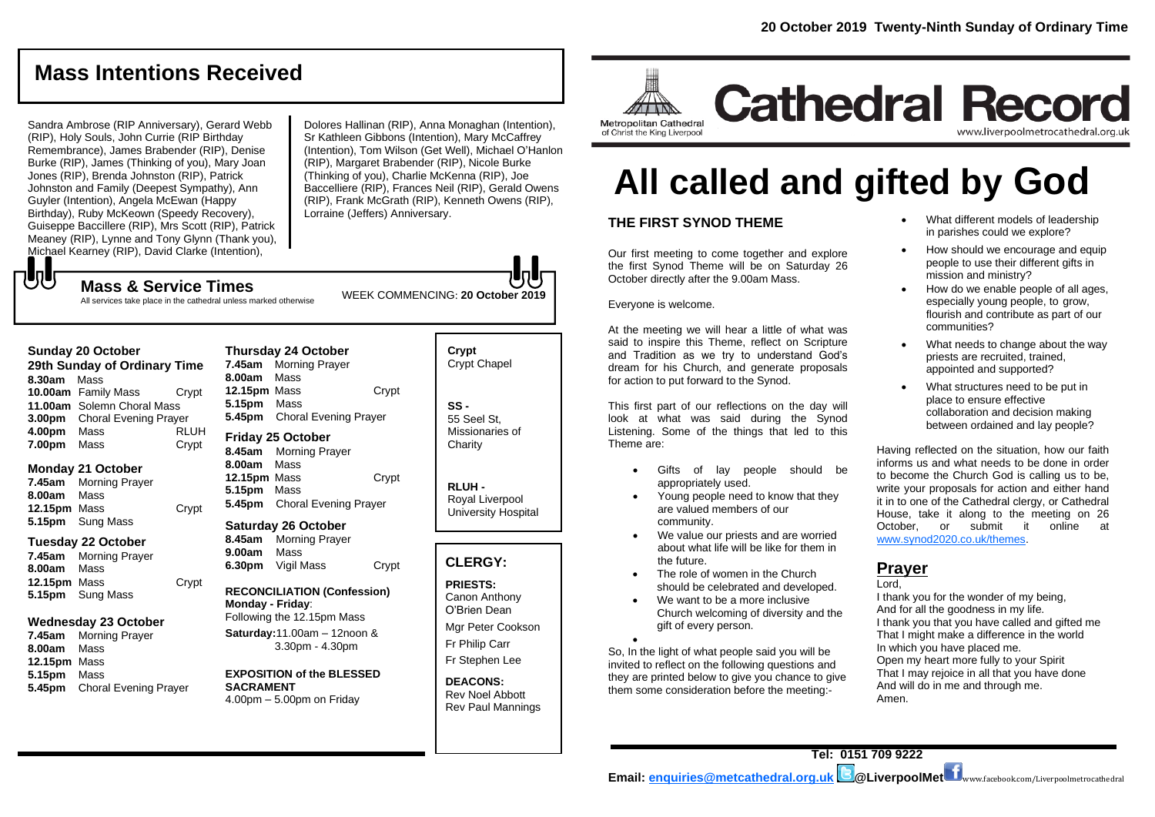## **Mass Intentions Received**

Sandra Ambrose (RIP Anniversary), Gerard Webb (RIP), Holy Souls, John Currie (RIP Birthday Remembrance), James Brabender (RIP), Denise Burke (RIP), James (Thinking of you), Mary Joan Jones (RIP), Brenda Johnston (RIP), Patrick Johnston and Family (Deepest Sympathy), Ann Guyler (Intention), Angela McEwan (Happy Birthday), Ruby McKeown (Speedy Recovery), Guiseppe Baccillere (RIP), Mrs Scott (RIP), Patrick Meaney (RIP), Lynne and Tony Glynn (Thank you), Michael Kearney (RIP), David Clarke (Intention),

Dolores Hallinan (RIP), Anna Monaghan (Intention), Sr Kathleen Gibbons (Intention), Mary McCaffrey (Intention), Tom Wilson (Get Well), Michael O'Hanlon (RIP), Margaret Brabender (RIP), Nicole Burke (Thinking of you), Charlie McKenna (RIP), Joe Baccelliere (RIP), Frances Neil (RIP), Gerald Owens (RIP), Frank McGrath (RIP), Kenneth Owens (RIP), Lorraine (Jeffers) Anniversary.

WEEK COMMENCING: **20 October 2019**

**Mass & Service Times**

All services take place in the cathedral unless marked otherwise

#### **Sunday 20 October**

もし

**29th Sunday of Ordinary Time 8.30am** Mass **10.00am** Family Mass Crypt **11.00am** Solemn Choral Mass **3.00pm** Choral Evening Prayer **4.00pm** Mass RLUH **7.00pm** Mass Crypt

#### **Monday 21 October**

**7.45am** Morning Prayer **8.00am** Mass **12.15pm** Mass Crypt **5.15pm** Sung Mass

#### **Tuesday 22 October**

**7.45am** Morning Prayer **8.00am** Mass **12.15pm** Mass Crypt **5.15pm** Sung Mass

#### **Wednesday 23 October**

**7.45am** Morning Prayer **8.00am** Mass **12.15pm** Mass **5.15pm** Mass **5.45pm** Choral Evening Prayer

#### **Thursday 24 October 7.45am** Morning Prayer **8.00am** Mass **12.15pm** Mass Crypt **5.15pm** Mass **5.45pm** Choral Evening Prayer

**Friday 25 October 8.45am** Morning Prayer **8.00am** Mass **12.15pm** Mass Crypt **5.15pm** Mass **5.45pm** Choral Evening Prayer

#### **Saturday 26 October 8.45am** Morning Prayer

**9.00am** Mass **6.30pm** Vigil Mass Crypt

**RECONCILIATION (Confession) Monday - Friday**: Following the 12.15pm Mass

**Saturday:**11.00am – 12noon & 3.30pm - 4.30pm

**EXPOSITION of the BLESSED SACRAMENT** 4.00pm – 5.00pm on Friday

## **Crypt**  Crypt Chapel

**SS -** 55 Seel St, Missionaries of **Charity** 

> **RLUH -** Royal Liverpool University Hospital

## **CLERGY:**

**PRIESTS:** Canon Anthony O'Brien *Dean*

Mgr Peter Cookson Fr Philip Carr

Fr Stephen Lee

**DEACONS:** Rev Noel Abbott Rev Paul Mannings

# **All called and gifted by God**

## **THE FIRST SYNOD THEME**

Our first meeting to come together and explore the first Synod Theme will be on Saturday 26 October directly after the 9.00am Mass.

Everyone is welcome.

At the meeting we will hear a little of what was said to inspire this Theme, reflect on Scripture and Tradition as we try to understand God's dream for his Church, and generate proposals for action to put forward to the Synod.

This first part of our reflections on the day will look at what was said during the Synod Listening. Some of the things that led to this Theme are:

- Gifts of lay people should be appropriately used.
- Young people need to know that they are valued members of our community.
- We value our priests and are worried about what life will be like for them in the future.
- The role of women in the Church should be celebrated and developed.
- We want to be a more inclusive Church welcoming of diversity and the gift of every person.

 $\bullet$ So, In the light of what people said you will be invited to reflect on the following questions and they are printed below to give you chance to give them some consideration before the meeting:-

• What different models of leadership in parishes could we explore?

www.liverpoolmetrocathedral.org.uk

- How should we encourage and equip people to use their different gifts in mission and ministry?
- How do we enable people of all ages, especially young people, to grow, flourish and contribute as part of our communities?
- What needs to change about the way priests are recruited, trained, appointed and supported?
- What structures need to be put in place to ensure effective collaboration and decision making between ordained and lay people?

Having reflected on the situation, how our faith informs us and what needs to be done in order to become the Church God is calling us to be, write your proposals for action and either hand it in to one of the Cathedral clergy, or Cathedral House, take it along to the meeting on 26 October, or submit it online at [www.synod2020.co.uk/themes.](http://www.synod2020.co.uk/themes)

#### **Prayer** Lord,

I thank you for the wonder of my being, And for all the goodness in my life. I thank you that you have called and gifted me That I might make a difference in the world In which you have placed me. Open my heart more fully to your Spirit That I may rejoice in all that you have done And will do in me and through me. Amen.